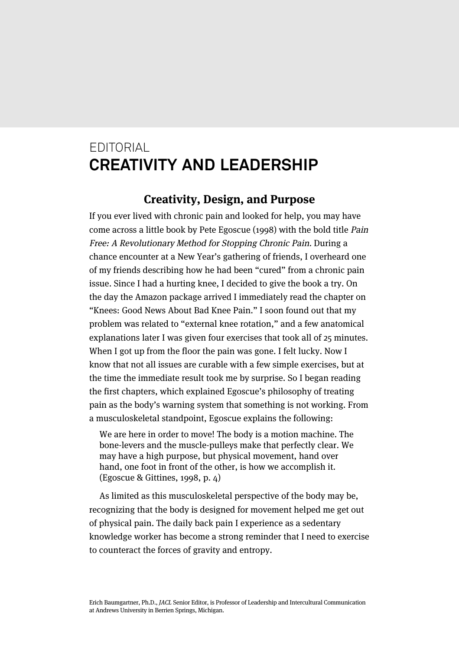# EDITORIAL **CREATIVITY AND LEADERSHIP**

### **Creativity, Design, and Purpose**

If you ever lived with chronic pain and looked for help, you may have come across a little book by Pete Egoscue (1998) with the bold title Pain Free: A Revolutionary Method for Stopping Chronic Pain. During a chance encounter at a New Year's gathering of friends, I overheard one of my friends describing how he had been "cured" from a chronic pain issue. Since I had a hurting knee, I decided to give the book a try. On the day the Amazon package arrived I immediately read the chapter on "Knees: Good News About Bad Knee Pain." I soon found out that my problem was related to "external knee rotation," and a few anatomical explanations later I was given four exercises that took all of 25 minutes. When I got up from the floor the pain was gone. I felt lucky. Now I know that not all issues are curable with a few simple exercises, but at the time the immediate result took me by surprise. So I began reading the first chapters, which explained Egoscue's philosophy of treating pain as the body's warning system that something is not working. From a musculoskeletal standpoint, Egoscue explains the following:

We are here in order to move! The body is a motion machine. The bone-levers and the muscle-pulleys make that perfectly clear. We may have a high purpose, but physical movement, hand over hand, one foot in front of the other, is how we accomplish it. (Egoscue & Gittines, 1998, p. 4)

As limited as this musculoskeletal perspective of the body may be, recognizing that the body is designed for movement helped me get out of physical pain. The daily back pain I experience as a sedentary knowledge worker has become a strong reminder that I need to exercise to counteract the forces of gravity and entropy.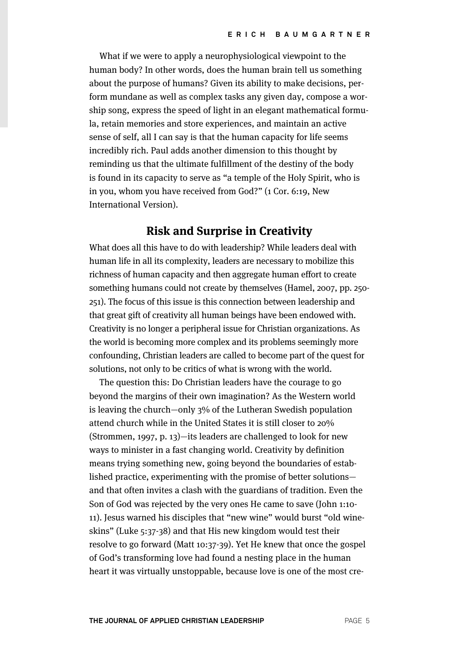What if we were to apply a neurophysiological viewpoint to the human body? In other words, does the human brain tell us something about the purpose of humans? Given its ability to make decisions, perform mundane as well as complex tasks any given day, compose a worship song, express the speed of light in an elegant mathematical formula, retain memories and store experiences, and maintain an active sense of self, all I can say is that the human capacity for life seems incredibly rich. Paul adds another dimension to this thought by reminding us that the ultimate fulfillment of the destiny of the body is found in its capacity to serve as "a temple of the Holy Spirit, who is in you, whom you have received from God?" (1 Cor. 6:19, New International Version).

## **Risk and Surprise in Creativity**

What does all this have to do with leadership? While leaders deal with human life in all its complexity, leaders are necessary to mobilize this richness of human capacity and then aggregate human effort to create something humans could not create by themselves (Hamel, 2007, pp. 250- 251). The focus of this issue is this connection between leadership and that great gift of creativity all human beings have been endowed with. Creativity is no longer a peripheral issue for Christian organizations. As the world is becoming more complex and its problems seemingly more confounding, Christian leaders are called to become part of the quest for solutions, not only to be critics of what is wrong with the world.

The question this: Do Christian leaders have the courage to go beyond the margins of their own imagination? As the Western world is leaving the church—only 3% of the Lutheran Swedish population attend church while in the United States it is still closer to 20% (Strommen, 1997, p. 13)—its leaders are challenged to look for new ways to minister in a fast changing world. Creativity by definition means trying something new, going beyond the boundaries of established practice, experimenting with the promise of better solutions and that often invites a clash with the guardians of tradition. Even the Son of God was rejected by the very ones He came to save (John 1:10- 11). Jesus warned his disciples that "new wine" would burst "old wineskins" (Luke 5:37-38) and that His new kingdom would test their resolve to go forward (Matt 10:37-39). Yet He knew that once the gospel of God's transforming love had found a nesting place in the human heart it was virtually unstoppable, because love is one of the most cre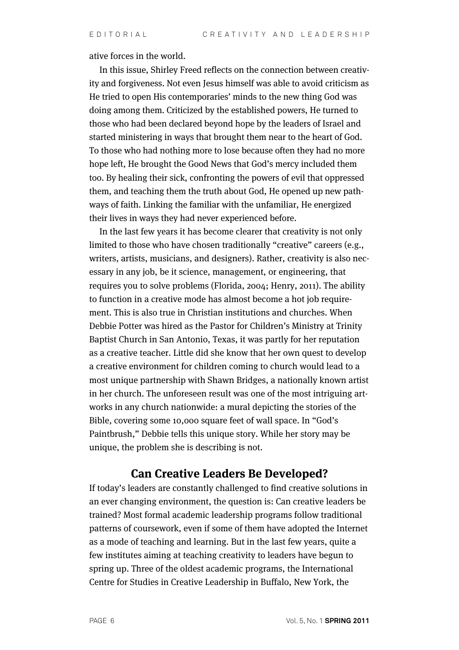ative forces in the world.

In this issue, Shirley Freed reflects on the connection between creativity and forgiveness. Not even Jesus himself was able to avoid criticism as He tried to open His contemporaries' minds to the new thing God was doing among them. Criticized by the established powers, He turned to those who had been declared beyond hope by the leaders of Israel and started ministering in ways that brought them near to the heart of God. To those who had nothing more to lose because often they had no more hope left, He brought the Good News that God's mercy included them too. By healing their sick, confronting the powers of evil that oppressed them, and teaching them the truth about God, He opened up new pathways of faith. Linking the familiar with the unfamiliar, He energized their lives in ways they had never experienced before.

In the last few years it has become clearer that creativity is not only limited to those who have chosen traditionally "creative" careers (e.g., writers, artists, musicians, and designers). Rather, creativity is also necessary in any job, be it science, management, or engineering, that requires you to solve problems (Florida, 2004; Henry, 2011). The ability to function in a creative mode has almost become a hot job requirement. This is also true in Christian institutions and churches. When Debbie Potter was hired as the Pastor for Children's Ministry at Trinity Baptist Church in San Antonio, Texas, it was partly for her reputation as a creative teacher. Little did she know that her own quest to develop a creative environment for children coming to church would lead to a most unique partnership with Shawn Bridges, a nationally known artist in her church. The unforeseen result was one of the most intriguing artworks in any church nationwide: a mural depicting the stories of the Bible, covering some 10,000 square feet of wall space. In "God's Paintbrush," Debbie tells this unique story. While her story may be unique, the problem she is describing is not.

#### **Can Creative Leaders Be Developed?**

If today's leaders are constantly challenged to find creative solutions in an ever changing environment, the question is: Can creative leaders be trained? Most formal academic leadership programs follow traditional patterns of coursework, even if some of them have adopted the Internet as a mode of teaching and learning. But in the last few years, quite a few institutes aiming at teaching creativity to leaders have begun to spring up. Three of the oldest academic programs, the International Centre for Studies in Creative Leadership in Buffalo, New York, the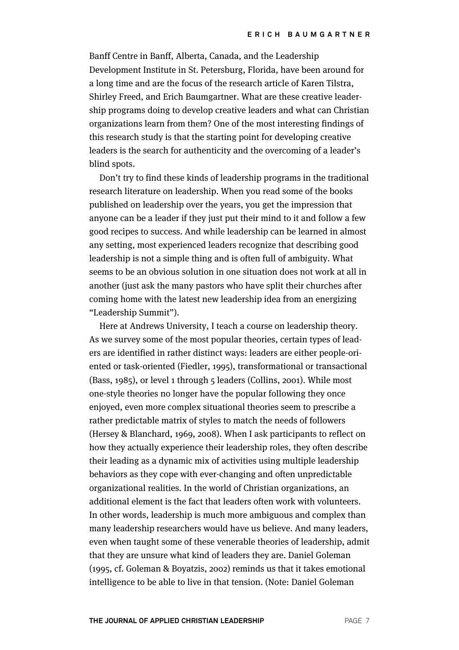Banff Centre in Banff, Alberta, Canada, and the Leadership Development Institute in St. Petersburg, Florida, have been around for a long time and are the focus of the research article of Karen Tilstra, Shirley Freed, and Erich Baumgartner. What are these creative leadership programs doing to develop creative leaders and what can Christian organizations learn from them? One of the most interesting findings of this research study is that the starting point for developing creative leaders is the search for authenticity and the overcoming of a leader's blind spots.

Don't try to find these kinds of leadership programs in the traditional research literature on leadership. When you read some of the books published on leadership over the years, you get the impression that anyone can be a leader if they just put their mind to it and follow a few good recipes to success. And while leadership can be learned in almost any setting, most experienced leaders recognize that describing good leadership is not a simple thing and is often full of ambiguity. What seems to be an obvious solution in one situation does not work at all in another (just ask the many pastors who have split their churches after coming home with the latest new leadership idea from an energizing "Leadership Summit").

Here at Andrews University, I teach a course on leadership theory. As we survey some of the most popular theories, certain types of leaders are identified in rather distinct ways: leaders are either people-oriented or task-oriented (Fiedler, 1995), transformational or transactional (Bass, 1985), or level 1 through 5 leaders (Collins, 2001). While most one-style theories no longer have the popular following they once enjoyed, even more complex situational theories seem to prescribe a rather predictable matrix of styles to match the needs of followers (Hersey & Blanchard, 1969, 2008). When I ask participants to reflect on how they actually experience their leadership roles, they often describe their leading as a dynamic mix of activities using multiple leadership behaviors as they cope with ever-changing and often unpredictable organizational realities. In the world of Christian organizations, an additional element is the fact that leaders often work with volunteers. In other words, leadership is much more ambiguous and complex than many leadership researchers would have us believe. And many leaders, even when taught some of these venerable theories of leadership, admit that they are unsure what kind of leaders they are. Daniel Goleman (1995, cf. Goleman & Boyatzis, 2002) reminds us that it takes emotional intelligence to be able to live in that tension. (Note: Daniel Goleman

**THE JOURNAL OF APPLIED CHRISTIAN LEADERSHIP PAGE 7**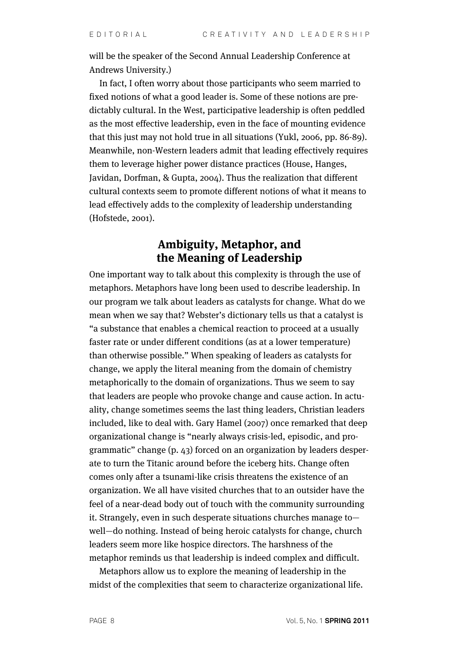will be the speaker of the Second Annual Leadership Conference at Andrews University.)

In fact, I often worry about those participants who seem married to fixed notions of what a good leader is. Some of these notions are predictably cultural. In the West, participative leadership is often peddled as the most effective leadership, even in the face of mounting evidence that this just may not hold true in all situations (Yukl, 2006, pp. 86-89). Meanwhile, non-Western leaders admit that leading effectively requires them to leverage higher power distance practices (House, Hanges, Javidan, Dorfman, & Gupta, 2004). Thus the realization that different cultural contexts seem to promote different notions of what it means to lead effectively adds to the complexity of leadership understanding (Hofstede, 2001).

## **Ambiguity, Metaphor, and the Meaning of Leadership**

One important way to talk about this complexity is through the use of metaphors. Metaphors have long been used to describe leadership. In our program we talk about leaders as catalysts for change. What do we mean when we say that? Webster's dictionary tells us that a catalyst is "a substance that enables a chemical reaction to proceed at a usually faster rate or under different conditions (as at a lower temperature) than otherwise possible." When speaking of leaders as catalysts for change, we apply the literal meaning from the domain of chemistry metaphorically to the domain of organizations. Thus we seem to say that leaders are people who provoke change and cause action. In actuality, change sometimes seems the last thing leaders, Christian leaders included, like to deal with. Gary Hamel (2007) once remarked that deep organizational change is "nearly always crisis-led, episodic, and programmatic" change (p. 43) forced on an organization by leaders desperate to turn the Titanic around before the iceberg hits. Change often comes only after a tsunami-like crisis threatens the existence of an organization. We all have visited churches that to an outsider have the feel of a near-dead body out of touch with the community surrounding it. Strangely, even in such desperate situations churches manage to well—do nothing. Instead of being heroic catalysts for change, church leaders seem more like hospice directors. The harshness of the metaphor reminds us that leadership is indeed complex and difficult.

Metaphors allow us to explore the meaning of leadership in the midst of the complexities that seem to characterize organizational life.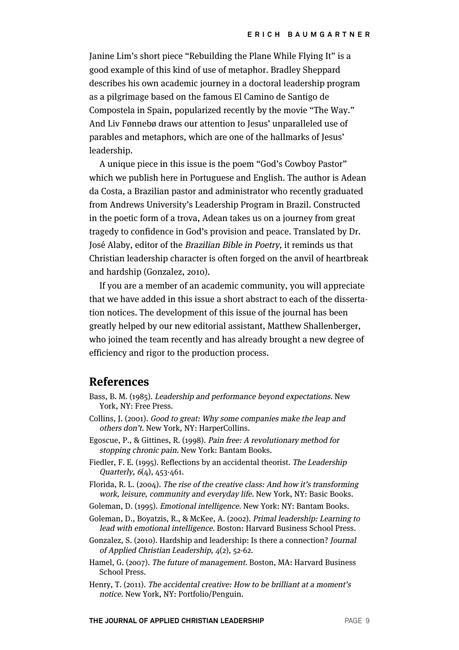Janine Lim's short piece "Rebuilding the Plane While Flying It" is a good example of this kind of use of metaphor. Bradley Sheppard describes his own academic journey in a doctoral leadership program as a pilgrimage based on the famous El Camino de Santigo de Compostela in Spain, popularized recently by the movie "The Way." And Liv Fønnebø draws our attention to Jesus' unparalleled use of parables and metaphors, which are one of the hallmarks of Jesus' leadership.

A unique piece in this issue is the poem "God's Cowboy Pastor" which we publish here in Portuguese and English. The author is Adean da Costa, a Brazilian pastor and administrator who recently graduated from Andrews University's Leadership Program in Brazil. Constructed in the poetic form of a trova, Adean takes us on a journey from great tragedy to confidence in God's provision and peace. Translated by Dr. José Alaby, editor of the Brazilian Bible in Poetry, it reminds us that Christian leadership character is often forged on the anvil of heartbreak and hardship (Gonzalez, 2010).

If you are a member of an academic community, you will appreciate that we have added in this issue a short abstract to each of the dissertation notices. The development of this issue of the journal has been greatly helped by our new editorial assistant, Matthew Shallenberger, who joined the team recently and has already brought a new degree of efficiency and rigor to the production process.

#### **References**

- Bass, B. M. (1985). Leadership and performance beyond expectations. New York, NY: Free Press.
- Collins, J. (2001). Good to great: Why some companies make the leap and others don't. New York, NY: HarperCollins.
- Egoscue, P., & Gittines, R. (1998). Pain free: A revolutionary method for stopping chronic pain. New York: Bantam Books.
- Fiedler, F. E. (1995). Reflections by an accidental theorist. The Leadership Quarterly, 6(4), 453-461.
- Florida, R. L. (2004). The rise of the creative class: And how it's transforming work, leisure, community and everyday life. New York, NY: Basic Books.
- Goleman, D. (1995). Emotional intelligence. New York: NY: Bantam Books.
- Goleman, D., Boyatzis, R., & McKee, A. (2002). Primal leadership: Learning to lead with emotional intelligence. Boston: Harvard Business School Press.
- Gonzalez, S. (2010). Hardship and leadership: Is there a connection? Journal of Applied Christian Leadership, 4(2), 52-62.
- Hamel, G. (2007). The future of management. Boston, MA: Harvard Business School Press.
- Henry, T. (2011). The accidental creative: How to be brilliant at a moment's notice. New York, NY: Portfolio/Penguin.